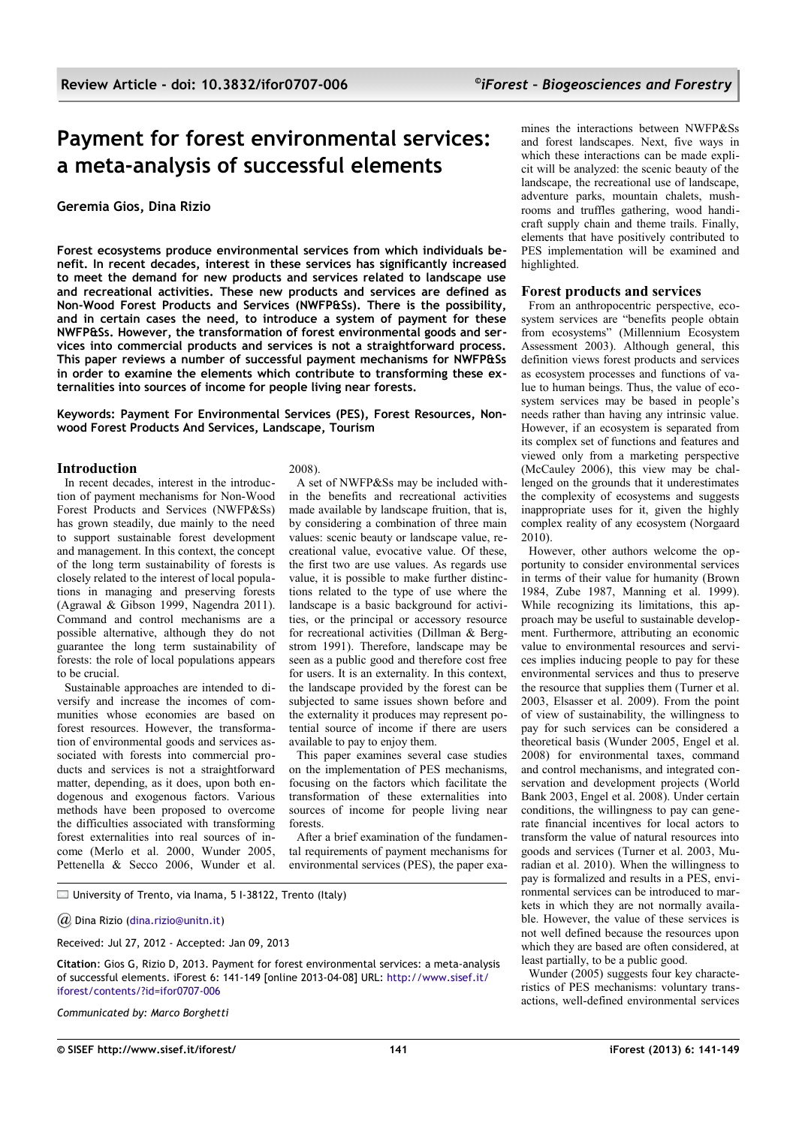# **Payment for forest environmental services: a meta-analysis of successful elements**

**Geremia Gios, Dina Rizio**

**Forest ecosystems produce environmental services from which individuals benefit. In recent decades, interest in these services has significantly increased to meet the demand for new products and services related to landscape use and recreational activities. These new products and services are defined as Non-Wood Forest Products and Services (NWFP&Ss). There is the possibility, and in certain cases the need, to introduce a system of payment for these NWFP&Ss. However, the transformation of forest environmental goods and services into commercial products and services is not a straightforward process. This paper reviews a number of successful payment mechanisms for NWFP&Ss in order to examine the elements which contribute to transforming these externalities into sources of income for people living near forests.**

**Keywords: Payment For Environmental Services (PES), Forest Resources, Nonwood Forest Products And Services, Landscape, Tourism**

## **Introduction**

In recent decades, interest in the introduction of payment mechanisms for Non-Wood Forest Products and Services (NWFP&Ss) has grown steadily, due mainly to the need to support sustainable forest development and management. In this context, the concept of the long term sustainability of forests is closely related to the interest of local populations in managing and preserving forests (Agrawal & Gibson 1999, Nagendra 2011). Command and control mechanisms are a possible alternative, although they do not guarantee the long term sustainability of forests: the role of local populations appears to be crucial.

Sustainable approaches are intended to diversify and increase the incomes of communities whose economies are based on forest resources. However, the transformation of environmental goods and services associated with forests into commercial products and services is not a straightforward matter, depending, as it does, upon both endogenous and exogenous factors. Various methods have been proposed to overcome the difficulties associated with transforming forest externalities into real sources of income (Merlo et al. 2000, Wunder 2005, Pettenella & Secco 2006, Wunder et al.

2008).

A set of NWFP&Ss may be included within the benefits and recreational activities made available by landscape fruition, that is, by considering a combination of three main values: scenic beauty or landscape value, recreational value, evocative value. Of these, the first two are use values. As regards use value, it is possible to make further distinctions related to the type of use where the landscape is a basic background for activities, or the principal or accessory resource for recreational activities (Dillman & Bergstrom 1991). Therefore, landscape may be seen as a public good and therefore cost free for users. It is an externality. In this context, the landscape provided by the forest can be subjected to same issues shown before and the externality it produces may represent potential source of income if there are users available to pay to enjoy them.

This paper examines several case studies on the implementation of PES mechanisms, focusing on the factors which facilitate the transformation of these externalities into sources of income for people living near forests.

After a brief examination of the fundamental requirements of payment mechanisms for environmental services (PES), the paper exa-

University of Trento, via Inama, 5 I-38122, Trento (Italy)

*@* Dina Rizio [\(dina.rizio@unitn.it\)](mailto:)

Received: Jul 27, 2012 - Accepted: Jan 09, 2013

**Citation**: Gios G, Rizio D, 2013. Payment for forest environmental services: a meta-analysis of successful elements. iForest 6: 141-149 [online 2013-04-08] URL: [http://www.sisef.it/](http://www.sisef.it/iforest/contents/?id=ifor0707-006) [iforest/contents/?id=ifor0707-006](http://www.sisef.it/iforest/contents/?id=ifor0707-006)

*Communicated by: Marco Borghetti*

mines the interactions between NWFP&Ss and forest landscapes. Next, five ways in which these interactions can be made explicit will be analyzed: the scenic beauty of the landscape, the recreational use of landscape, adventure parks, mountain chalets, mushrooms and truffles gathering, wood handicraft supply chain and theme trails. Finally, elements that have positively contributed to PES implementation will be examined and highlighted.

## **Forest products and services**

From an anthropocentric perspective, ecosystem services are "benefits people obtain from ecosystems" (Millennium Ecosystem Assessment 2003). Although general, this definition views forest products and services as ecosystem processes and functions of value to human beings. Thus, the value of ecosystem services may be based in people's needs rather than having any intrinsic value. However, if an ecosystem is separated from its complex set of functions and features and viewed only from a marketing perspective (McCauley 2006), this view may be challenged on the grounds that it underestimates the complexity of ecosystems and suggests inappropriate uses for it, given the highly complex reality of any ecosystem (Norgaard 2010).

However, other authors welcome the opportunity to consider environmental services in terms of their value for humanity (Brown 1984, Zube 1987, Manning et al. 1999). While recognizing its limitations, this approach may be useful to sustainable development. Furthermore, attributing an economic value to environmental resources and services implies inducing people to pay for these environmental services and thus to preserve the resource that supplies them (Turner et al. 2003, Elsasser et al. 2009). From the point of view of sustainability, the willingness to pay for such services can be considered a theoretical basis (Wunder 2005, Engel et al. 2008) for environmental taxes, command and control mechanisms, and integrated conservation and development projects (World Bank 2003, Engel et al. 2008). Under certain conditions, the willingness to pay can generate financial incentives for local actors to transform the value of natural resources into goods and services (Turner et al. 2003, Muradian et al. 2010). When the willingness to pay is formalized and results in a PES, environmental services can be introduced to markets in which they are not normally available. However, the value of these services is not well defined because the resources upon which they are based are often considered, at least partially, to be a public good.

Wunder (2005) suggests four key characteristics of PES mechanisms: voluntary transactions, well-defined environmental services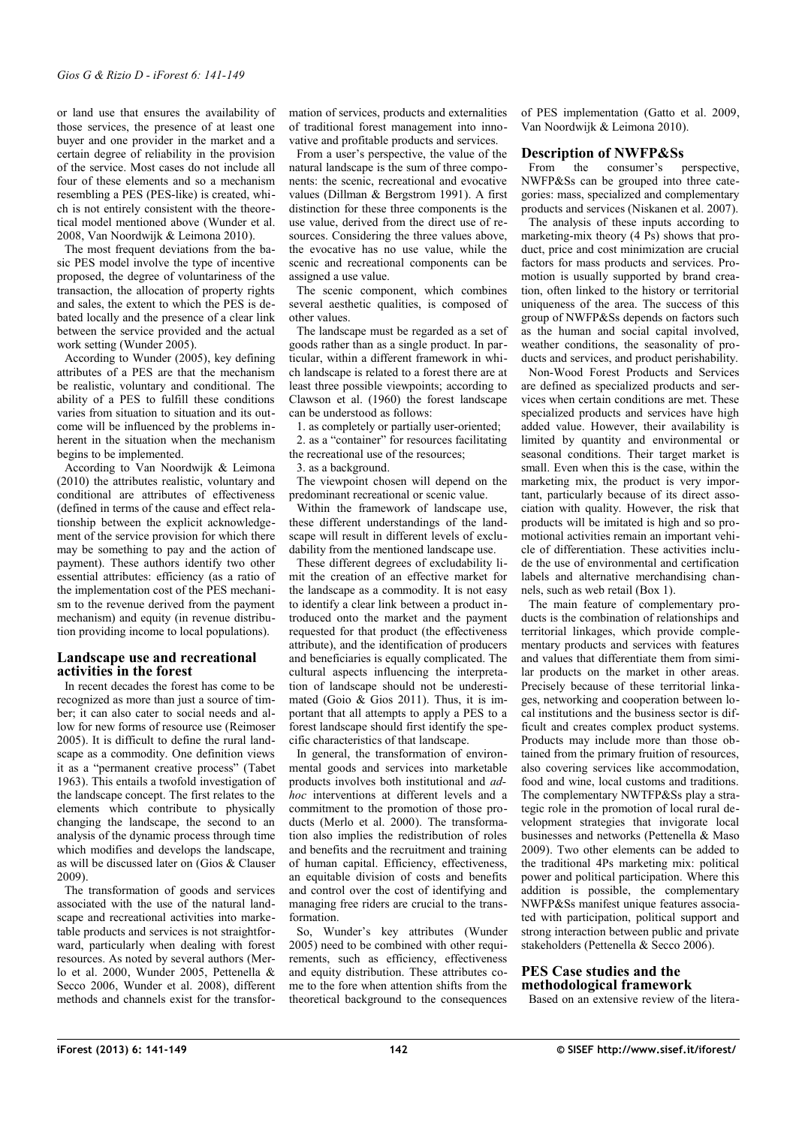or land use that ensures the availability of those services, the presence of at least one buyer and one provider in the market and a certain degree of reliability in the provision of the service. Most cases do not include all four of these elements and so a mechanism resembling a PES (PES-like) is created, which is not entirely consistent with the theoretical model mentioned above (Wunder et al. 2008, Van Noordwijk & Leimona 2010).

The most frequent deviations from the basic PES model involve the type of incentive proposed, the degree of voluntariness of the transaction, the allocation of property rights and sales, the extent to which the PES is debated locally and the presence of a clear link between the service provided and the actual work setting (Wunder 2005).

According to Wunder (2005), key defining attributes of a PES are that the mechanism be realistic, voluntary and conditional. The ability of a PES to fulfill these conditions varies from situation to situation and its outcome will be influenced by the problems inherent in the situation when the mechanism begins to be implemented.

According to Van Noordwijk & Leimona (2010) the attributes realistic, voluntary and conditional are attributes of effectiveness (defined in terms of the cause and effect relationship between the explicit acknowledgement of the service provision for which there may be something to pay and the action of payment). These authors identify two other essential attributes: efficiency (as a ratio of the implementation cost of the PES mechanism to the revenue derived from the payment mechanism) and equity (in revenue distribution providing income to local populations).

#### **Landscape use and recreational activities in the forest**

In recent decades the forest has come to be recognized as more than just a source of timber; it can also cater to social needs and allow for new forms of resource use (Reimoser 2005). It is difficult to define the rural landscape as a commodity. One definition views it as a "permanent creative process" (Tabet 1963). This entails a twofold investigation of the landscape concept. The first relates to the elements which contribute to physically changing the landscape, the second to an analysis of the dynamic process through time which modifies and develops the landscape. as will be discussed later on (Gios & Clauser 2009).

The transformation of goods and services associated with the use of the natural landscape and recreational activities into marketable products and services is not straightforward, particularly when dealing with forest resources. As noted by several authors (Merlo et al. 2000, Wunder 2005, Pettenella & Secco 2006, Wunder et al. 2008), different methods and channels exist for the transformation of services, products and externalities of traditional forest management into innovative and profitable products and services.

From a user's perspective, the value of the natural landscape is the sum of three components: the scenic, recreational and evocative values (Dillman & Bergstrom 1991). A first distinction for these three components is the use value, derived from the direct use of resources. Considering the three values above, the evocative has no use value, while the scenic and recreational components can be assigned a use value.

The scenic component, which combines several aesthetic qualities, is composed of other values.

The landscape must be regarded as a set of goods rather than as a single product. In particular, within a different framework in which landscape is related to a forest there are at least three possible viewpoints; according to Clawson et al. (1960) the forest landscape can be understood as follows:

1. as completely or partially user-oriented; 2. as a "container" for resources facilitating the recreational use of the resources;

3. as a background.

The viewpoint chosen will depend on the predominant recreational or scenic value.

Within the framework of landscape use, these different understandings of the landscape will result in different levels of excludability from the mentioned landscape use.

These different degrees of excludability limit the creation of an effective market for the landscape as a commodity. It is not easy to identify a clear link between a product introduced onto the market and the payment requested for that product (the effectiveness attribute), and the identification of producers and beneficiaries is equally complicated. The cultural aspects influencing the interpretation of landscape should not be underestimated (Goio  $\&$  Gios 2011). Thus, it is important that all attempts to apply a PES to a forest landscape should first identify the specific characteristics of that landscape.

In general, the transformation of environmental goods and services into marketable products involves both institutional and *adhoc* interventions at different levels and a commitment to the promotion of those products (Merlo et al. 2000). The transformation also implies the redistribution of roles and benefits and the recruitment and training of human capital. Efficiency, effectiveness, an equitable division of costs and benefits and control over the cost of identifying and managing free riders are crucial to the transformation.

So, Wunder's key attributes (Wunder 2005) need to be combined with other requirements, such as efficiency, effectiveness and equity distribution. These attributes come to the fore when attention shifts from the theoretical background to the consequences

of PES implementation (Gatto et al. 2009, Van Noordwijk & Leimona 2010).

## **Description of NWFP&Ss**

From the consumer's perspective, NWFP&Ss can be grouped into three categories: mass, specialized and complementary products and services (Niskanen et al. 2007).

The analysis of these inputs according to marketing-mix theory (4 Ps) shows that product, price and cost minimization are crucial factors for mass products and services. Promotion is usually supported by brand creation, often linked to the history or territorial uniqueness of the area. The success of this group of NWFP&Ss depends on factors such as the human and social capital involved, weather conditions, the seasonality of products and services, and product perishability.

Non-Wood Forest Products and Services are defined as specialized products and services when certain conditions are met. These specialized products and services have high added value. However, their availability is limited by quantity and environmental or seasonal conditions. Their target market is small. Even when this is the case, within the marketing mix, the product is very important, particularly because of its direct association with quality. However, the risk that products will be imitated is high and so promotional activities remain an important vehicle of differentiation. These activities include the use of environmental and certification labels and alternative merchandising channels, such as web retail [\(Box 1\)](#page-2-0).

The main feature of complementary products is the combination of relationships and territorial linkages, which provide complementary products and services with features and values that differentiate them from similar products on the market in other areas. Precisely because of these territorial linkages, networking and cooperation between local institutions and the business sector is difficult and creates complex product systems. Products may include more than those obtained from the primary fruition of resources, also covering services like accommodation, food and wine, local customs and traditions. The complementary NWTFP&Ss play a strategic role in the promotion of local rural development strategies that invigorate local businesses and networks (Pettenella & Maso 2009). Two other elements can be added to the traditional 4Ps marketing mix: political power and political participation. Where this addition is possible, the complementary NWFP&Ss manifest unique features associated with participation, political support and strong interaction between public and private stakeholders (Pettenella & Secco 2006).

## **PES Case studies and the methodological framework**

Based on an extensive review of the litera-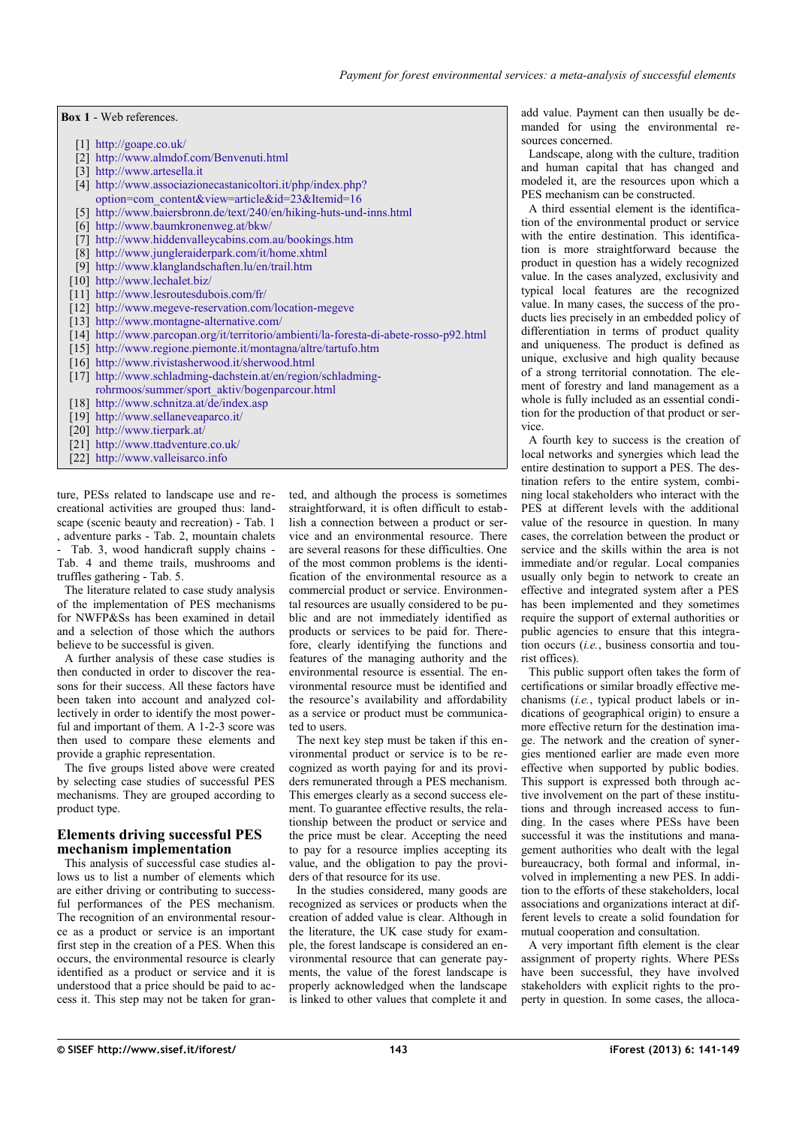<span id="page-2-0"></span>

| <b>Box 1 - Web references.</b>                                                         | ac            |
|----------------------------------------------------------------------------------------|---------------|
|                                                                                        | m             |
| $[1]$ http://goape.co.uk/                                                              | <sub>SO</sub> |
| [2] http://www.almdof.com/Benvenuti.html                                               |               |
| [3] http://www.artesella.it                                                            | an            |
| [4] http://www.associazionecastanicoltori.it/php/index.php?                            | m             |
| option=com content&view=article&id=23&Itemid=16                                        | Pl            |
| [5] http://www.baiersbronn.de/text/240/en/hiking-huts-und-inns.html                    |               |
| [6] http://www.baumkronenweg.at/bkw/                                                   | tio           |
| [7] http://www.hiddenvalleycabins.com.au/bookings.htm                                  | W.            |
| [8] http://www.jungleraiderpark.com/it/home.xhtml                                      | tio           |
| [9] http://www.klanglandschaften.lu/en/trail.htm                                       | pr            |
| [10] http://www.lechalet.biz/                                                          | va            |
| [11] http://www.lesroutesdubois.com/fr/                                                | ty            |
| [12] http://www.megeve-reservation.com/location-megeve                                 | va            |
| [13] http://www.montagne-alternative.com/                                              | dı            |
| [14] http://www.parcopan.org/it/territorio/ambienti/la-foresta-di-abete-rosso-p92.html | di            |
| [15] http://www.regione.piemonte.it/montagna/altre/tartufo.htm                         | an            |
| [16] http://www.rivistasherwood.it/sherwood.html                                       | ur            |
| [17] http://www.schladming-dachstein.at/en/region/schladming-                          | of            |
| rohrmoos/summer/sport aktiv/bogenparcour.html                                          | m             |
| [18] http://www.schnitza.at/de/index.asp                                               | W             |
| [19] http://www.sellaneveaparco.it/                                                    | tio           |
| [20] http://www.tierpark.at/                                                           | vi            |
| [21] http://www.ttadventure.co.uk/                                                     |               |
| [22] http://www.valleisarco.info                                                       | lo            |

ture, PESs related to landscape use and recreational activities are grouped thus: land-scape (scenic beauty and recreation) - [Tab. 1](#page-3-2) , adventure parks - [Tab. 2,](#page-3-1) mountain chalets [Tab. 3,](#page-3-0) wood handicraft supply chains -[Tab. 4](#page-4-1) and theme trails, mushrooms and truffles gathering - [Tab. 5.](#page-4-0)

The literature related to case study analysis of the implementation of PES mechanisms for NWFP&Ss has been examined in detail and a selection of those which the authors believe to be successful is given.

A further analysis of these case studies is then conducted in order to discover the reasons for their success. All these factors have been taken into account and analyzed collectively in order to identify the most powerful and important of them. A 1-2-3 score was then used to compare these elements and provide a graphic representation.

The five groups listed above were created by selecting case studies of successful PES mechanisms. They are grouped according to product type.

## **Elements driving successful PES mechanism implementation**

This analysis of successful case studies allows us to list a number of elements which are either driving or contributing to successful performances of the PES mechanism. The recognition of an environmental resource as a product or service is an important first step in the creation of a PES. When this occurs, the environmental resource is clearly identified as a product or service and it is understood that a price should be paid to access it. This step may not be taken for gran-

ted, and although the process is sometimes straightforward, it is often difficult to establish a connection between a product or service and an environmental resource. There are several reasons for these difficulties. One of the most common problems is the identification of the environmental resource as a commercial product or service. Environmental resources are usually considered to be public and are not immediately identified as products or services to be paid for. Therefore, clearly identifying the functions and features of the managing authority and the environmental resource is essential. The environmental resource must be identified and the resource's availability and affordability as a service or product must be communicated to users.

The next key step must be taken if this environmental product or service is to be recognized as worth paying for and its providers remunerated through a PES mechanism. This emerges clearly as a second success element. To guarantee effective results, the relationship between the product or service and the price must be clear. Accepting the need to pay for a resource implies accepting its value, and the obligation to pay the providers of that resource for its use.

In the studies considered, many goods are recognized as services or products when the creation of added value is clear. Although in the literature, the UK case study for example, the forest landscape is considered an environmental resource that can generate payments, the value of the forest landscape is properly acknowledged when the landscape is linked to other values that complete it and

dd value. Payment can then usually be deanded for using the environmental resurces concerned.

Landscape, along with the culture, tradition and human capital that has changed and modeled it, are the resources upon which a ES mechanism can be constructed.

A third essential element is the identificaon of the environmental product or service ith the entire destination. This identificaon is more straightforward because the roduct in question has a widely recognized alue. In the cases analyzed, exclusivity and pical local features are the recognized alue. In many cases, the success of the products lies precisely in an embedded policy of differentiation in terms of product quality and uniqueness. The product is defined as unique, exclusive and high quality because a strong territorial connotation. The element of forestry and land management as a hole is fully included as an essential condion for the production of that product or serice.

A fourth key to success is the creation of local networks and synergies which lead the entire destination to support a PES. The destination refers to the entire system, combining local stakeholders who interact with the PES at different levels with the additional value of the resource in question. In many cases, the correlation between the product or service and the skills within the area is not immediate and/or regular. Local companies usually only begin to network to create an effective and integrated system after a PES has been implemented and they sometimes require the support of external authorities or public agencies to ensure that this integration occurs (*i.e.*, business consortia and tourist offices).

This public support often takes the form of certifications or similar broadly effective mechanisms (*i.e.*, typical product labels or indications of geographical origin) to ensure a more effective return for the destination image. The network and the creation of synergies mentioned earlier are made even more effective when supported by public bodies. This support is expressed both through active involvement on the part of these institutions and through increased access to funding. In the cases where PESs have been successful it was the institutions and management authorities who dealt with the legal bureaucracy, both formal and informal, involved in implementing a new PES. In addition to the efforts of these stakeholders, local associations and organizations interact at different levels to create a solid foundation for mutual cooperation and consultation.

A very important fifth element is the clear assignment of property rights. Where PESs have been successful, they have involved stakeholders with explicit rights to the property in question. In some cases, the alloca-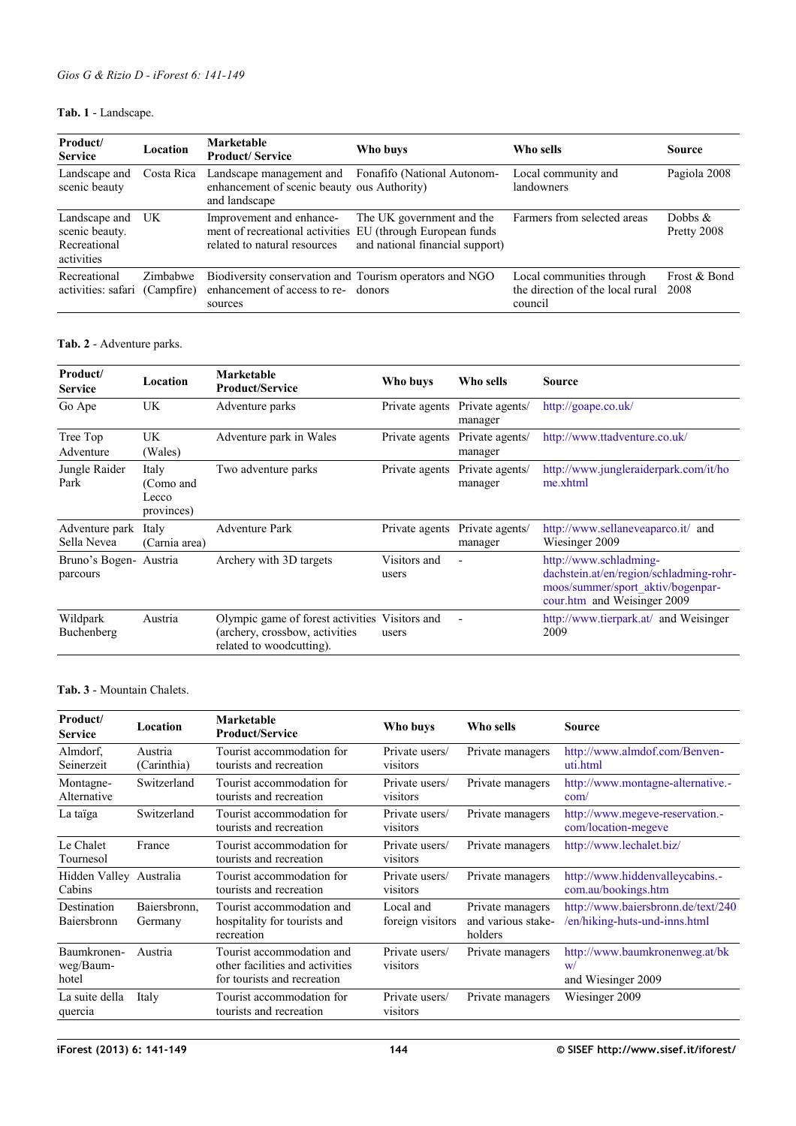## <span id="page-3-2"></span>**Tab. 1** - Landscape.

| Product/<br><b>Service</b>                                    | Location               | <b>Marketable</b><br><b>Product/Service</b>                                                        | Who buys                                                                                   | Who sells                                                                | <b>Source</b>             |
|---------------------------------------------------------------|------------------------|----------------------------------------------------------------------------------------------------|--------------------------------------------------------------------------------------------|--------------------------------------------------------------------------|---------------------------|
| Landscape and<br>scenic beauty                                | Costa Rica             | Landscape management and<br>enhancement of scenic beauty ous Authority)<br>and landscape           | Fonafifo (National Autonom-                                                                | Local community and<br>landowners                                        | Pagiola 2008              |
| Landscape and<br>scenic beauty.<br>Recreational<br>activities | UK                     | Improvement and enhance-<br>ment of recreational activities<br>related to natural resources        | The UK government and the<br>EU (through European funds<br>and national financial support) | Farmers from selected areas                                              | Dobbs $\&$<br>Pretty 2008 |
| Recreational<br>activities: safari                            | Zimbabwe<br>(Campfire) | Biodiversity conservation and Tourism operators and NGO<br>enhancement of access to re-<br>sources | donors                                                                                     | Local communities through<br>the direction of the local rural<br>council | Frost & Bond<br>2008      |

## <span id="page-3-1"></span>**Tab. 2** - Adventure parks.

| Product/<br><b>Service</b>        | Location                                  | Marketable<br><b>Product/Service</b>                                                                         | Who buys              | Who sells                  | Source                                                                                                                                |
|-----------------------------------|-------------------------------------------|--------------------------------------------------------------------------------------------------------------|-----------------------|----------------------------|---------------------------------------------------------------------------------------------------------------------------------------|
| Go Ape                            | UK                                        | Adventure parks                                                                                              | Private agents        | Private agents/<br>manager | http://goape.co.uk/                                                                                                                   |
| Tree Top<br>Adventure             | UK<br>(Wales)                             | Adventure park in Wales                                                                                      | Private agents        | Private agents/<br>manager | http://www.ttadventure.co.uk/                                                                                                         |
| Jungle Raider<br>Park             | Italy<br>(Como and<br>Lecco<br>provinces) | Two adventure parks                                                                                          | Private agents        | Private agents/<br>manager | http://www.jungleraiderpark.com/it/ho<br>me.xhtml                                                                                     |
| Adventure park<br>Sella Nevea     | Italy<br>(Carnia area)                    | <b>Adventure Park</b>                                                                                        | Private agents        | Private agents/<br>manager | http://www.sellaneveaparco.it/ and<br>Wiesinger 2009                                                                                  |
| Bruno's Bogen-Austria<br>parcours |                                           | Archery with 3D targets                                                                                      | Visitors and<br>users | $\overline{\phantom{0}}$   | http://www.schladming-<br>dachstein.at/en/region/schladming-rohr-<br>moos/summer/sport aktiv/bogenpar-<br>cour.htm and Weisinger 2009 |
| Wildpark<br>Buchenberg            | Austria                                   | Olympic game of forest activities Visitors and<br>(archery, crossbow, activities<br>related to woodcutting). | users                 | $\overline{\phantom{a}}$   | http://www.tierpark.at/ and Weisinger<br>2009                                                                                         |

## <span id="page-3-0"></span>**Tab. 3** - Mountain Chalets.

| Product/<br><b>Service</b>        | Location                | Marketable<br><b>Product/Service</b>                                                        | Who buys                      | Who sells                                         | <b>Source</b>                                                       |
|-----------------------------------|-------------------------|---------------------------------------------------------------------------------------------|-------------------------------|---------------------------------------------------|---------------------------------------------------------------------|
| Almdorf,<br>Seinerzeit            | Austria<br>(Carinthia)  | Tourist accommodation for<br>tourists and recreation                                        | Private users/<br>visitors    | Private managers                                  | http://www.almdof.com/Benven-<br>uti.html                           |
| Montagne-<br>Alternative          | Switzerland             | Tourist accommodation for<br>tourists and recreation                                        | Private users/<br>visitors    | Private managers                                  | http://www.montagne-alternative.-<br>com/                           |
| La taïga                          | Switzerland             | Tourist accommodation for<br>tourists and recreation                                        | Private users/<br>visitors    | Private managers                                  | http://www.megeve-reservation.-<br>com/location-megeve              |
| Le Chalet<br>Tournesol            | France                  | Tourist accommodation for<br>tourists and recreation                                        | Private users/<br>visitors    | Private managers                                  | http://www.lechalet.biz/                                            |
| Hidden Valley<br>Cabins           | Australia               | Tourist accommodation for<br>tourists and recreation                                        | Private users/<br>visitors    | Private managers                                  | http://www.hiddenvalleycabins.-<br>com.au/bookings.htm              |
| Destination<br>Baiersbronn        | Baiersbronn,<br>Germany | Tourist accommodation and<br>hospitality for tourists and<br>recreation                     | Local and<br>foreign visitors | Private managers<br>and various stake-<br>holders | http://www.baiersbronn.de/text/240<br>/en/hiking-huts-und-inns.html |
| Baumkronen-<br>weg/Baum-<br>hotel | Austria                 | Tourist accommodation and<br>other facilities and activities<br>for tourists and recreation | Private users/<br>visitors    | Private managers                                  | http://www.baumkronenweg.at/bk<br>W/<br>and Wiesinger 2009          |
| La suite della<br>quercia         | Italy                   | Tourist accommodation for<br>tourists and recreation                                        | Private users/<br>visitors    | Private managers                                  | Wiesinger 2009                                                      |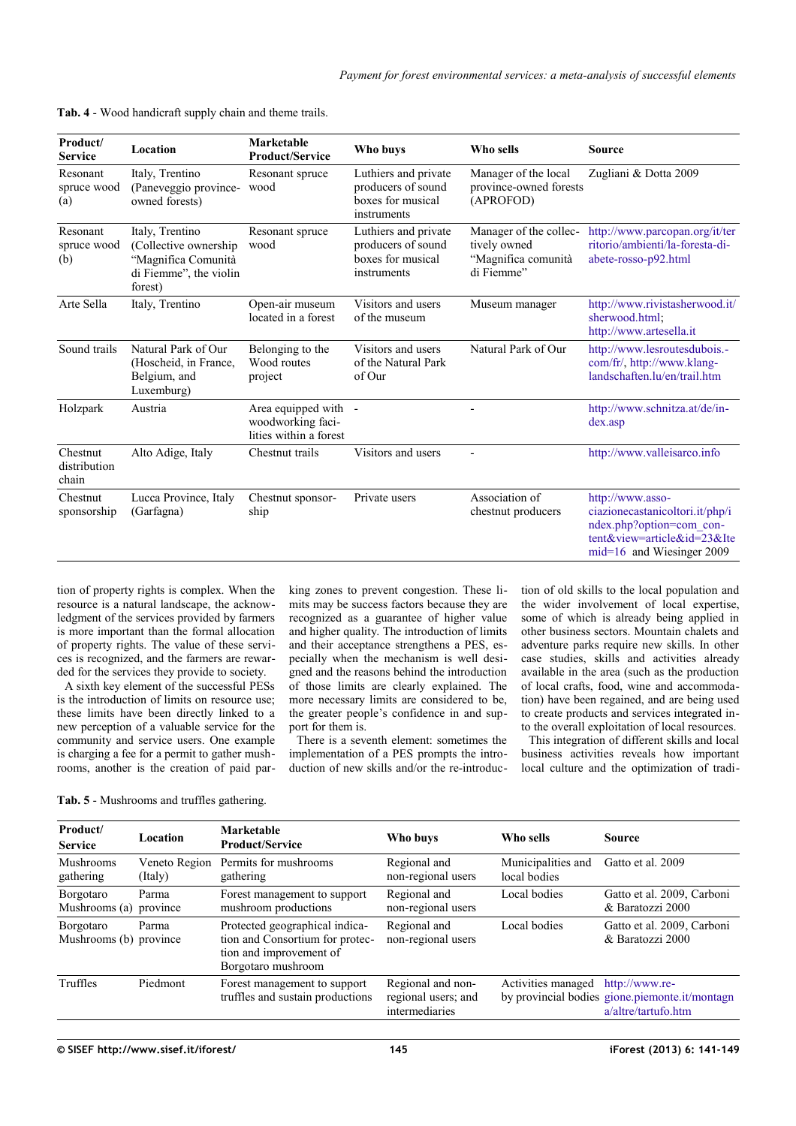| Product/<br><b>Service</b>        | Location                                                                                             | Marketable<br><b>Product/Service</b>                                | Who buys                                                                       | Who sells                                                                   | <b>Source</b>                                                                                                                                 |
|-----------------------------------|------------------------------------------------------------------------------------------------------|---------------------------------------------------------------------|--------------------------------------------------------------------------------|-----------------------------------------------------------------------------|-----------------------------------------------------------------------------------------------------------------------------------------------|
| Resonant<br>spruce wood<br>(a)    | Italy, Trentino<br>(Paneveggio province-<br>owned forests)                                           | Resonant spruce<br>wood                                             | Luthiers and private<br>producers of sound<br>boxes for musical<br>instruments | Manager of the local<br>province-owned forests<br>(APROFOD)                 | Zugliani & Dotta 2009                                                                                                                         |
| Resonant<br>spruce wood<br>(b)    | Italy, Trentino<br>(Collective ownership<br>"Magnifica Comunità<br>di Fiemme", the violin<br>forest) | Resonant spruce<br>wood                                             | Luthiers and private<br>producers of sound<br>boxes for musical<br>instruments | Manager of the collec-<br>tively owned<br>"Magnifica comunità<br>di Fiemme" | http://www.parcopan.org/it/ter<br>ritorio/ambienti/la-foresta-di-<br>abete-rosso-p92.html                                                     |
| Arte Sella                        | Italy, Trentino                                                                                      | Open-air museum<br>located in a forest                              | Visitors and users<br>of the museum                                            | Museum manager                                                              | http://www.rivistasherwood.it/<br>sherwood.html;<br>http://www.artesella.it                                                                   |
| Sound trails                      | Natural Park of Our<br>(Hoscheid, in France,<br>Belgium, and<br>Luxemburg)                           | Belonging to the<br>Wood routes<br>project                          | Visitors and users<br>of the Natural Park<br>of Our                            | Natural Park of Our                                                         | http://www.lesroutesdubois.-<br>com/fr/, http://www.klang-<br>landschaften.lu/en/trail.htm                                                    |
| Holzpark                          | Austria                                                                                              | Area equipped with -<br>woodworking faci-<br>lities within a forest |                                                                                |                                                                             | http://www.schnitza.at/de/in-<br>dex.asp                                                                                                      |
| Chestnut<br>distribution<br>chain | Alto Adige, Italy                                                                                    | Chestnut trails                                                     | Visitors and users                                                             |                                                                             | http://www.valleisarco.info                                                                                                                   |
| Chestnut<br>sponsorship           | Lucca Province, Italy<br>(Garfagna)                                                                  | Chestnut sponsor-<br>ship                                           | Private users                                                                  | Association of<br>chestnut producers                                        | http://www.asso-<br>ciazionecastanicoltori.it/php/i<br>ndex.php?option=com con-<br>tent&view=article&id=23&Ite<br>$mid=16$ and Wiesinger 2009 |

<span id="page-4-1"></span>**Tab. 4** - Wood handicraft supply chain and theme trails.

tion of property rights is complex. When the resource is a natural landscape, the acknowledgment of the services provided by farmers is more important than the formal allocation of property rights. The value of these services is recognized, and the farmers are rewarded for the services they provide to society.

A sixth key element of the successful PESs is the introduction of limits on resource use; these limits have been directly linked to a new perception of a valuable service for the community and service users. One example is charging a fee for a permit to gather mushrooms, another is the creation of paid parking zones to prevent congestion. These limits may be success factors because they are recognized as a guarantee of higher value and higher quality. The introduction of limits and their acceptance strengthens a PES, especially when the mechanism is well designed and the reasons behind the introduction of those limits are clearly explained. The more necessary limits are considered to be, the greater people's confidence in and support for them is.

There is a seventh element: sometimes the implementation of a PES prompts the introduction of new skills and/or the re-introduction of old skills to the local population and the wider involvement of local expertise, some of which is already being applied in other business sectors. Mountain chalets and adventure parks require new skills. In other case studies, skills and activities already available in the area (such as the production of local crafts, food, wine and accommodation) have been regained, and are being used to create products and services integrated into the overall exploitation of local resources.

This integration of different skills and local business activities reveals how important local culture and the optimization of tradi-

| Product/<br><b>Service</b>                  | Location                 | Marketable<br><b>Product/Service</b>                                                                               | Who buys                                                   | Who sells                          | <b>Source</b>                                                                           |
|---------------------------------------------|--------------------------|--------------------------------------------------------------------------------------------------------------------|------------------------------------------------------------|------------------------------------|-----------------------------------------------------------------------------------------|
| <b>Mushrooms</b><br>gathering               | Veneto Region<br>(Italy) | Permits for mushrooms<br>gathering                                                                                 | Regional and<br>non-regional users                         | Municipalities and<br>local bodies | Gatto et al. 2009                                                                       |
| <b>B</b> orgotaro<br>Mushrooms (a)          | Parma<br>province        | Forest management to support<br>mushroom productions                                                               | Regional and<br>non-regional users                         | Local bodies                       | Gatto et al. 2009, Carboni<br>& Baratozzi 2000                                          |
| <b>B</b> orgotaro<br>Mushrooms (b) province | Parma                    | Protected geographical indica-<br>tion and Consortium for protec-<br>tion and improvement of<br>Borgotaro mushroom | Regional and<br>non-regional users                         | Local bodies                       | Gatto et al. 2009, Carboni<br>& Baratozzi 2000                                          |
| Truffles                                    | Piedmont                 | Forest management to support<br>truffles and sustain productions                                                   | Regional and non-<br>regional users; and<br>intermediaries | Activities managed                 | http://www.re-<br>by provincial bodies gione piemonte it/montagn<br>a/altre/tartufo.htm |

## <span id="page-4-0"></span>**Tab. 5** - Mushrooms and truffles gathering.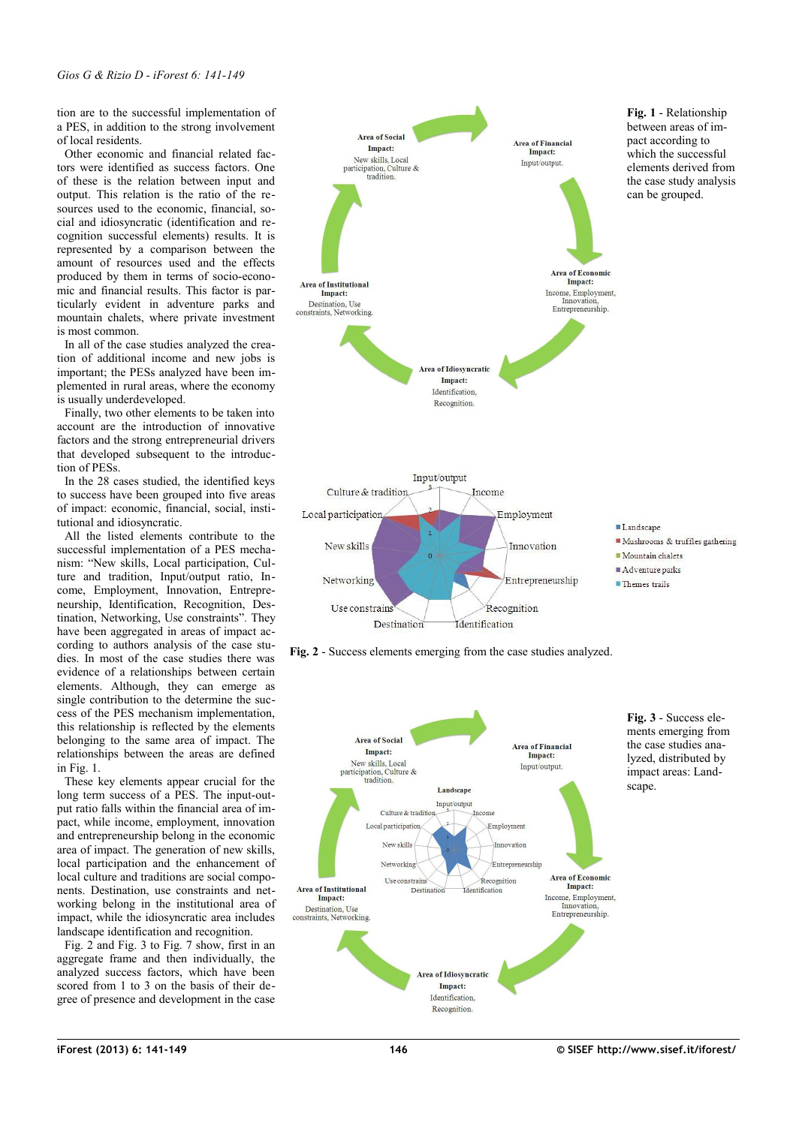tion are to the successful implementation of a PES, in addition to the strong involvement of local residents.

Other economic and financial related factors were identified as success factors. One of these is the relation between input and output. This relation is the ratio of the resources used to the economic, financial, social and idiosyncratic (identification and recognition successful elements) results. It is represented by a comparison between the amount of resources used and the effects produced by them in terms of socio-economic and financial results. This factor is particularly evident in adventure parks and mountain chalets, where private investment is most common.

In all of the case studies analyzed the creation of additional income and new jobs is important; the PESs analyzed have been implemented in rural areas, where the economy is usually underdeveloped.

Finally, two other elements to be taken into account are the introduction of innovative factors and the strong entrepreneurial drivers that developed subsequent to the introduction of PESs.

In the 28 cases studied, the identified keys to success have been grouped into five areas of impact: economic, financial, social, institutional and idiosyncratic.

All the listed elements contribute to the successful implementation of a PES mechanism: "New skills, Local participation, Culture and tradition, Input/output ratio, Income, Employment, Innovation, Entrepreneurship, Identification, Recognition, Destination, Networking, Use constraints"*.* They have been aggregated in areas of impact according to authors analysis of the case studies. In most of the case studies there was evidence of a relationships between certain elements. Although, they can emerge as single contribution to the determine the success of the PES mechanism implementation, this relationship is reflected by the elements belonging to the same area of impact. The relationships between the areas are defined in [Fig. 1.](#page-5-2)

These key elements appear crucial for the long term success of a PES. The input-output ratio falls within the financial area of impact, while income, employment, innovation and entrepreneurship belong in the economic area of impact. The generation of new skills, local participation and the enhancement of local culture and traditions are social components. Destination, use constraints and networking belong in the institutional area of impact, while the idiosyncratic area includes landscape identification and recognition.

[Fig. 2](#page-5-1) and [Fig. 3](#page-5-0) to [Fig. 7](#page-6-0) show, first in an aggregate frame and then individually, the analyzed success factors, which have been scored from 1 to 3 on the basis of their degree of presence and development in the case

<span id="page-5-2"></span>

<span id="page-5-1"></span><span id="page-5-0"></span>**Fig. 2** - Success elements emerging from the case studies analyzed.

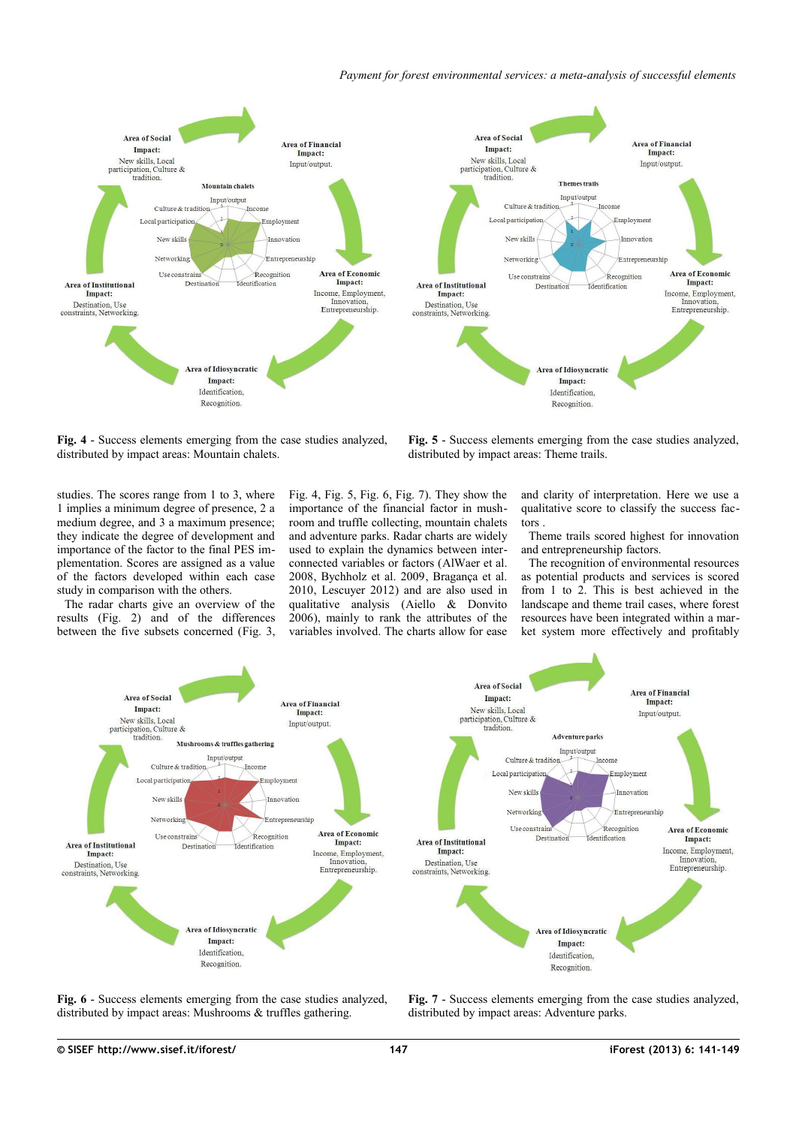*Payment for forest environmental services: a meta-analysis of successful elements*



<span id="page-6-3"></span>**Fig. 4** - Success elements emerging from the case studies analyzed, distributed by impact areas: Mountain chalets.

<span id="page-6-2"></span>**Fig. 5** - Success elements emerging from the case studies analyzed, distributed by impact areas: Theme trails.

studies. The scores range from 1 to 3, where 1 implies a minimum degree of presence, 2 a medium degree, and 3 a maximum presence; they indicate the degree of development and importance of the factor to the final PES implementation. Scores are assigned as a value of the factors developed within each case study in comparison with the others.

The radar charts give an overview of the results [\(Fig. 2\)](#page-5-1) and of the differences between the five subsets concerned [\(Fig. 3,](#page-5-0) [Fig. 4,](#page-6-3) [Fig. 5,](#page-6-2) [Fig. 6,](#page-6-1) [Fig. 7\)](#page-6-0). They show the importance of the financial factor in mushroom and truffle collecting, mountain chalets and adventure parks. Radar charts are widely used to explain the dynamics between interconnected variables or factors (AlWaer et al. 2008, Bychholz et al. 2009, Bragança et al. 2010, Lescuyer 2012) and are also used in qualitative analysis (Aiello & Donvito 2006), mainly to rank the attributes of the variables involved. The charts allow for ease

and clarity of interpretation. Here we use a qualitative score to classify the success factors .

Theme trails scored highest for innovation and entrepreneurship factors.

The recognition of environmental resources as potential products and services is scored from 1 to 2. This is best achieved in the landscape and theme trail cases, where forest resources have been integrated within a market system more effectively and profitably



<span id="page-6-1"></span>**Fig. 6** - Success elements emerging from the case studies analyzed, distributed by impact areas: Mushrooms & truffles gathering.

<span id="page-6-0"></span>**Fig. 7** - Success elements emerging from the case studies analyzed, distributed by impact areas: Adventure parks.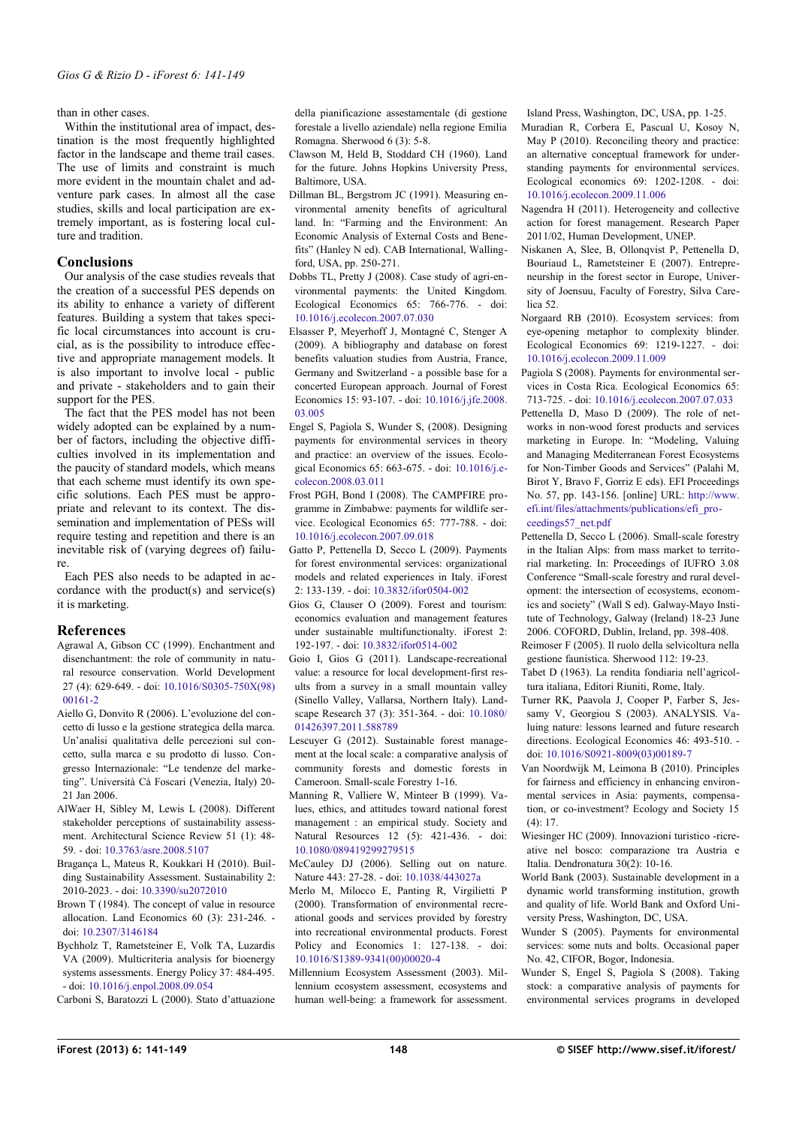than in other cases.

Within the institutional area of impact, destination is the most frequently highlighted factor in the landscape and theme trail cases. The use of limits and constraint is much more evident in the mountain chalet and adventure park cases. In almost all the case studies, skills and local participation are extremely important, as is fostering local culture and tradition.

## **Conclusions**

Our analysis of the case studies reveals that the creation of a successful PES depends on its ability to enhance a variety of different features. Building a system that takes specific local circumstances into account is crucial, as is the possibility to introduce effective and appropriate management models. It is also important to involve local - public and private - stakeholders and to gain their support for the PES.

The fact that the PES model has not been widely adopted can be explained by a number of factors, including the objective difficulties involved in its implementation and the paucity of standard models, which means that each scheme must identify its own specific solutions. Each PES must be appropriate and relevant to its context. The dissemination and implementation of PESs will require testing and repetition and there is an inevitable risk of (varying degrees of) failure.

Each PES also needs to be adapted in accordance with the product(s) and service(s) it is marketing.

#### **References**

- Agrawal A, Gibson CC (1999). Enchantment and disenchantment: the role of community in natural resource conservation. World Development 27 (4): 629-649. - doi: [10.1016/S0305-750X\(98\)](http://dx.doi.org/10.1016/S0305-750X(98)00161-2) [00161-2](http://dx.doi.org/10.1016/S0305-750X(98)00161-2)
- Aiello G, Donvito R (2006). L'evoluzione del concetto di lusso e la gestione strategica della marca. Un'analisi qualitativa delle percezioni sul concetto, sulla marca e su prodotto di lusso. Congresso Internazionale: "Le tendenze del marketing". Università Cà Foscari (Venezia, Italy) 20- 21 Jan 2006.
- AlWaer H, Sibley M, Lewis L (2008). Different stakeholder perceptions of sustainability assessment. Architectural Science Review 51 (1): 48- 59. - doi: [10.3763/asre.2008.5107](http://dx.doi.org/10.3763/asre.2008.5107)
- Bragança L, Mateus R, Koukkari H (2010). Building Sustainability Assessment. Sustainability 2: 2010-2023. - doi: [10.3390/su2072010](http://dx.doi.org/10.3390/su2072010)
- Brown T (1984). The concept of value in resource allocation. Land Economics 60 (3): 231-246. doi: [10.2307/3146184](http://dx.doi.org/10.2307/3146184)
- Bychholz T, Rametsteiner E, Volk TA, Luzardis VA (2009). Multicriteria analysis for bioenergy systems assessments. Energy Policy 37: 484-495. - doi: [10.1016/j.enpol.2008.09.054](http://dx.doi.org/10.1016/j.enpol.2008.09.054)
- Carboni S, Baratozzi L (2000). Stato d'attuazione

della pianificazione assestamentale (di gestione forestale a livello aziendale) nella regione Emilia Romagna. Sherwood 6 (3): 5-8.

- Clawson M, Held B, Stoddard CH (1960). Land for the future. Johns Hopkins University Press, Baltimore, USA.
- Dillman BL, Bergstrom JC (1991). Measuring environmental amenity benefits of agricultural land. In: "Farming and the Environment: An Economic Analysis of External Costs and Benefits" (Hanley N ed). CAB International, Wallingford, USA, pp. 250-271.
- Dobbs TL, Pretty J (2008). Case study of agri-environmental payments: the United Kingdom. Ecological Economics 65: 766-776. - doi: [10.1016/j.ecolecon.2007.07.030](http://dx.doi.org/10.1016/j.ecolecon.2007.07.030)
- Elsasser P, Meyerhoff J, Montagné C, Stenger A (2009). A bibliography and database on forest benefits valuation studies from Austria, France, Germany and Switzerland - a possible base for a concerted European approach. Journal of Forest Economics 15: 93-107. - doi: [10.1016/j.jfe.2008.](http://dx.doi.org/10.1016/j.jfe.2008.03.005) [03.005](http://dx.doi.org/10.1016/j.jfe.2008.03.005)
- Engel S, Pagiola S, Wunder S, (2008). Designing payments for environmental services in theory and practice: an overview of the issues. Ecological Economics 65: 663-675. - doi: [10.1016/j.e](http://dx.doi.org/10.1016/j.ecolecon.2008.03.011)[colecon.2008.03.011](http://dx.doi.org/10.1016/j.ecolecon.2008.03.011)
- Frost PGH, Bond I (2008). The CAMPFIRE programme in Zimbabwe: payments for wildlife service. Ecological Economics 65: 777-788. - doi: [10.1016/j.ecolecon.2007.09.018](http://dx.doi.org/10.1016/j.ecolecon.2007.09.018)
- Gatto P, Pettenella D, Secco L (2009). Payments for forest environmental services: organizational models and related experiences in Italy. iForest 2: 133-139. - doi: [10.3832/ifor0504-002](http://dx.doi.org/10.3832/ifor0504-002)
- Gios G, Clauser O (2009). Forest and tourism: economics evaluation and management features under sustainable multifunctionalty. iForest 2: 192-197. - doi: [10.3832/ifor0514-002](http://dx.doi.org/10.3832/ifor0514-002)
- Goio I, Gios G (2011). Landscape-recreational value: a resource for local development-first results from a survey in a small mountain valley (Sinello Valley, Vallarsa, Northern Italy). Landscape Research 37 (3): 351-364. - doi: [10.1080/](http://dx.doi.org/10.1080/01426397.2011.588789) [01426397.2011.588789](http://dx.doi.org/10.1080/01426397.2011.588789)
- Lescuyer G (2012). Sustainable forest management at the local scale: a comparative analysis of community forests and domestic forests in Cameroon. Small-scale Forestry 1-16.
- Manning R, Valliere W, Minteer B (1999). Values, ethics, and attitudes toward national forest management : an empirical study. Society and Natural Resources 12 (5): 421-436. - doi: [10.1080/089419299279515](http://dx.doi.org/10.1080/089419299279515)
- McCauley DJ (2006). Selling out on nature. Nature 443: 27-28. - doi: [10.1038/443027a](http://dx.doi.org/10.1038/443027a)
- Merlo M, Milocco E, Panting R, Virgilietti P (2000). Transformation of environmental recreational goods and services provided by forestry into recreational environmental products. Forest Policy and Economics 1: 127-138. - doi: [10.1016/S1389-9341\(00\)00020-4](http://dx.doi.org/10.1016/S1389-9341(00)00020-4)
- Millennium Ecosystem Assessment (2003). Millennium ecosystem assessment, ecosystems and human well-being: a framework for assessment.

Island Press, Washington, DC, USA, pp. 1-25.

- Muradian R, Corbera E, Pascual U, Kosoy N, May P (2010). Reconciling theory and practice: an alternative conceptual framework for understanding payments for environmental services. Ecological economics 69: 1202-1208. - doi: [10.1016/j.ecolecon.2009.11.006](http://dx.doi.org/10.1016/j.ecolecon.2009.11.006)
- Nagendra H (2011). Heterogeneity and collective action for forest management. Research Paper 2011/02, Human Development, UNEP.
- Niskanen A, Slee, B, Ollonqvist P, Pettenella D, Bouriaud L, Rametsteiner E (2007). Entrepreneurship in the forest sector in Europe, University of Joensuu, Faculty of Forestry, Silva Carelica 52.
- Norgaard RB (2010). Ecosystem services: from eye-opening metaphor to complexity blinder. Ecological Economics 69: 1219-1227. - doi: [10.1016/j.ecolecon.2009.11.009](http://dx.doi.org/10.1016/j.ecolecon.2009.11.009)
- Pagiola S (2008). Payments for environmental services in Costa Rica. Ecological Economics 65: 713-725. - doi: [10.1016/j.ecolecon.2007.07.033](http://dx.doi.org/10.1016/j.ecolecon.2007.07.033)
- Pettenella D, Maso D (2009). The role of networks in non-wood forest products and services marketing in Europe. In: "Modeling, Valuing and Managing Mediterranean Forest Ecosystems for Non-Timber Goods and Services" (Palahi M, Birot Y, Bravo F, Gorriz E eds). EFI Proceedings No. 57, pp. 143-156. [online] URL: [http://www.](http://www.efi.int/files/attachments/publications/efi_proceedings57_net.pdf) [efi.int/files/attachments/publications/efi\\_pro](http://www.efi.int/files/attachments/publications/efi_proceedings57_net.pdf)[ceedings57\\_net.pdf](http://www.efi.int/files/attachments/publications/efi_proceedings57_net.pdf)
- 
- Pettenella D, Secco L (2006). Small-scale forestry in the Italian Alps: from mass market to territorial marketing. In: Proceedings of IUFRO 3.08 Conference "Small-scale forestry and rural development: the intersection of ecosystems, economics and society" (Wall S ed). Galway-Mayo Institute of Technology, Galway (Ireland) 18-23 June 2006. COFORD, Dublin, Ireland, pp. 398-408.
- Reimoser F (2005). Il ruolo della selvicoltura nella gestione faunistica. Sherwood 112: 19-23.
- Tabet D (1963). La rendita fondiaria nell'agricoltura italiana, Editori Riuniti, Rome, Italy.
- Turner RK, Paavola J, Cooper P, Farber S, Jessamy V, Georgiou S (2003). ANALYSIS. Valuing nature: lessons learned and future research directions. Ecological Economics 46: 493-510. doi: [10.1016/S0921-8009\(03\)00189-7](http://dx.doi.org/10.1016/S0921-8009(03)00189-7)
- Van Noordwijk M, Leimona B (2010). Principles for fairness and efficiency in enhancing environmental services in Asia: payments, compensation, or co-investment? Ecology and Society 15  $(4)$ : 17
- Wiesinger HC (2009). Innovazioni turistico -ricreative nel bosco: comparazione tra Austria e Italia. Dendronatura 30(2): 10-16.
- World Bank (2003). Sustainable development in a dynamic world transforming institution, growth and quality of life. World Bank and Oxford University Press, Washington, DC, USA.
- Wunder S (2005). Payments for environmental services: some nuts and bolts. Occasional paper No. 42, CIFOR, Bogor, Indonesia.
- Wunder S, Engel S, Pagiola S (2008). Taking stock: a comparative analysis of payments for environmental services programs in developed